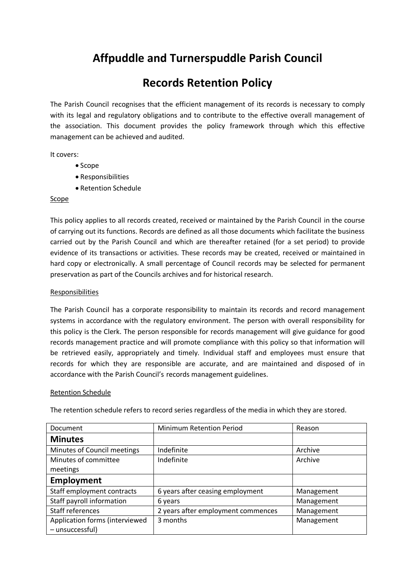# **Affpuddle and Turnerspuddle Parish Council**

## **Records Retention Policy**

The Parish Council recognises that the efficient management of its records is necessary to comply with its legal and regulatory obligations and to contribute to the effective overall management of the association. This document provides the policy framework through which this effective management can be achieved and audited.

It covers:

- Scope
- Responsibilities
- Retention Schedule

#### Scope

This policy applies to all records created, received or maintained by the Parish Council in the course of carrying out its functions. Records are defined as all those documents which facilitate the business carried out by the Parish Council and which are thereafter retained (for a set period) to provide evidence of its transactions or activities. These records may be created, received or maintained in hard copy or electronically. A small percentage of Council records may be selected for permanent preservation as part of the Councils archives and for historical research.

### Responsibilities

The Parish Council has a corporate responsibility to maintain its records and record management systems in accordance with the regulatory environment. The person with overall responsibility for this policy is the Clerk. The person responsible for records management will give guidance for good records management practice and will promote compliance with this policy so that information will be retrieved easily, appropriately and timely. Individual staff and employees must ensure that records for which they are responsible are accurate, and are maintained and disposed of in accordance with the Parish Council's records management guidelines.

#### Retention Schedule

The retention schedule refers to record series regardless of the media in which they are stored.

| Document                       | <b>Minimum Retention Period</b>    | Reason     |
|--------------------------------|------------------------------------|------------|
| <b>Minutes</b>                 |                                    |            |
| Minutes of Council meetings    | Indefinite                         | Archive    |
| Minutes of committee           | Indefinite                         | Archive    |
| meetings                       |                                    |            |
| <b>Employment</b>              |                                    |            |
| Staff employment contracts     | 6 years after ceasing employment   | Management |
| Staff payroll information      | 6 years                            | Management |
| Staff references               | 2 years after employment commences | Management |
| Application forms (interviewed | 3 months                           | Management |
| - unsuccessful)                |                                    |            |